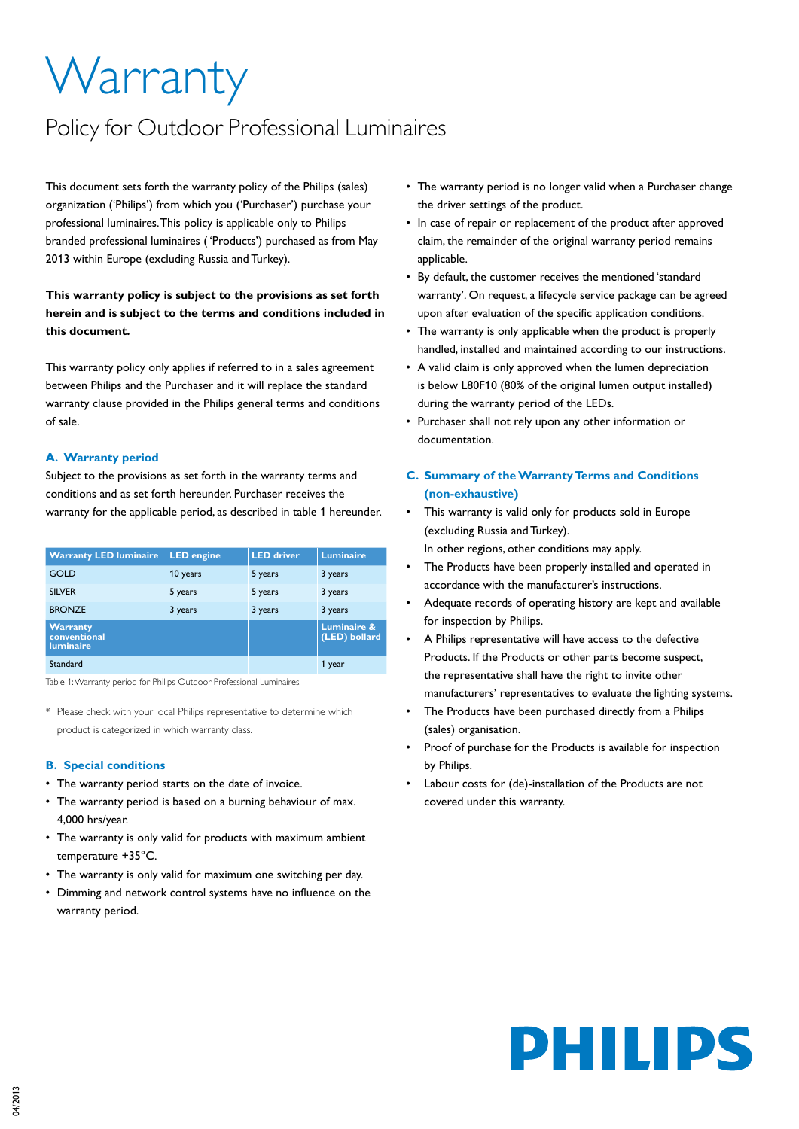# **Warranty**

## Policy for Outdoor Professional Luminaires

This document sets forth the warranty policy of the Philips (sales) organization ('Philips') from which you ('Purchaser') purchase your professional luminaires. This policy is applicable only to Philips branded professional luminaires ( 'Products') purchased as from May 2013 within Europe (excluding Russia and Turkey).

## **This warranty policy is subject to the provisions as set forth herein and is subject to the terms and conditions included in this document.**

This warranty policy only applies if referred to in a sales agreement between Philips and the Purchaser and it will replace the standard warranty clause provided in the Philips general terms and conditions of sale.

## **A. Warranty period**

Subject to the provisions as set forth in the warranty terms and conditions and as set forth hereunder, Purchaser receives the warranty for the applicable period, as described in table 1 hereunder.

| <b>Warranty LED luminaire</b>                       | <b>LED</b> engine | <b>LED driver</b> | <b>Luminaire</b>                        |
|-----------------------------------------------------|-------------------|-------------------|-----------------------------------------|
| GOLD                                                | 10 years          | 5 years           | 3 years                                 |
| <b>SILVER</b>                                       | 5 years           | 5 years           | 3 years                                 |
| <b>BRONZE</b>                                       | 3 years           | 3 years           | 3 years                                 |
| <b>Warranty</b><br>conventional<br><b>luminaire</b> |                   |                   | <b>Luminaire &amp;</b><br>(LED) bollard |
| Standard                                            |                   |                   | 1 year                                  |

Table 1: Warranty period for Philips Outdoor Professional Luminaires.

\* Please check with your local Philips representative to determine which product is categorized in which warranty class.

## **B. Special conditions**

- The warranty period starts on the date of invoice.
- The warranty period is based on a burning behaviour of max. 4,000 hrs/year.
- The warranty is only valid for products with maximum ambient temperature +35°C.
- The warranty is only valid for maximum one switching per day.
- • Dimming and network control systems have no influence on the warranty period.
- The warranty period is no longer valid when a Purchaser change the driver settings of the product.
- In case of repair or replacement of the product after approved claim, the remainder of the original warranty period remains applicable.
- • By default, the customer receives the mentioned 'standard warranty'. On request, a lifecycle service package can be agreed upon after evaluation of the specific application conditions.
- The warranty is only applicable when the product is properly handled, installed and maintained according to our instructions.
- A valid claim is only approved when the lumen depreciation is below L80F10 (80% of the original lumen output installed) during the warranty period of the LEDs.
- • Purchaser shall not rely upon any other information or documentation.
- **C. Summary of the Warranty Terms and Conditions (non-exhaustive)**
- This warranty is valid only for products sold in Europe (excluding Russia and Turkey). In other regions, other conditions may apply.
- The Products have been properly installed and operated in accordance with the manufacturer's instructions.
- Adequate records of operating history are kept and available for inspection by Philips.
- A Philips representative will have access to the defective Products. If the Products or other parts become suspect, the representative shall have the right to invite other manufacturers' representatives to evaluate the lighting systems.
- The Products have been purchased directly from a Philips (sales) organisation.
- Proof of purchase for the Products is available for inspection by Philips.
- Labour costs for (de)-installation of the Products are not covered under this warranty.

# PHILIPS